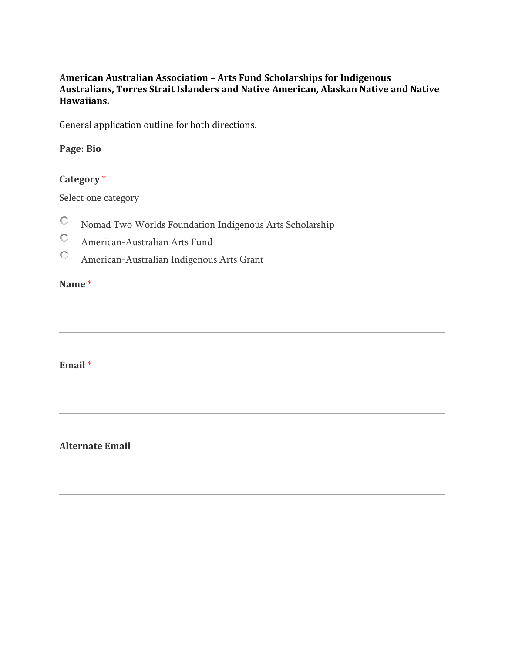#### **American Australian Association – Arts Fund Scholarships for Indigenous Australians, Torres Strait Islanders and Native American, Alaskan Native and Native Hawaiians.**

General application outline for both directions.

#### **Page: Bio**

#### **Category** \*

Select one category

- O Nomad Two Worlds Foundation Indigenous Arts Scholarship
- $\circ$ American-Australian Arts Fund
- $\mathbb{C}^-$ American-Australian Indigenous Arts Grant

#### **Name** \*

#### **Email** \*

#### **Alternate Email**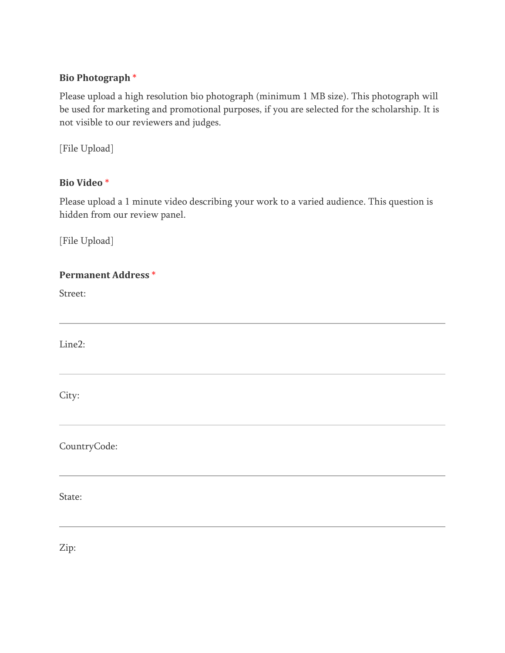# **Bio Photograph** \*

Please upload a high resolution bio photograph (minimum 1 MB size). This photograph will be used for marketing and promotional purposes, if you are selected for the scholarship. It is not visible to our reviewers and judges.

[File Upload]

# **Bio Video** \*

Please upload a 1 minute video describing your work to a varied audience. This question is hidden from our review panel.

[File Upload]

| <b>Permanent Address *</b> |  |
|----------------------------|--|
| Street:                    |  |
|                            |  |
| Line2:                     |  |
| City:                      |  |
| CountryCode:               |  |
| State:                     |  |

Zip: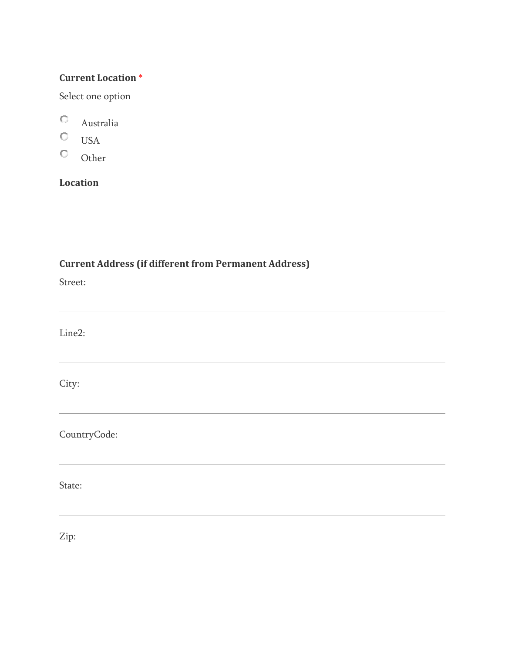#### **Current Location** \*

Select one option

- $\mathbf{C}^-$ Australia
- $\circ$ USA
- $\mathbb{C}^-$ Other

# **Location**

# **Current Address (if different from Permanent Address)**

Street:

Line2:

City:

CountryCode:

State:

Zip: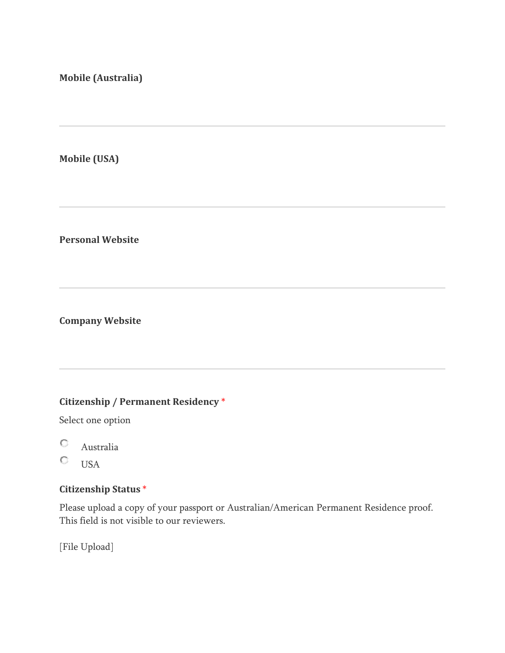#### **Mobile (Australia)**

**Mobile (USA)** 

**Personal Website** 

**Company Website** 

# **Citizenship / Permanent Residency** \*

Select one option

- O Australia
- $\circ$ **USA**

# **Citizenship Status** \*

Please upload a copy of your passport or Australian/American Permanent Residence proof. This field is not visible to our reviewers.

[File Upload]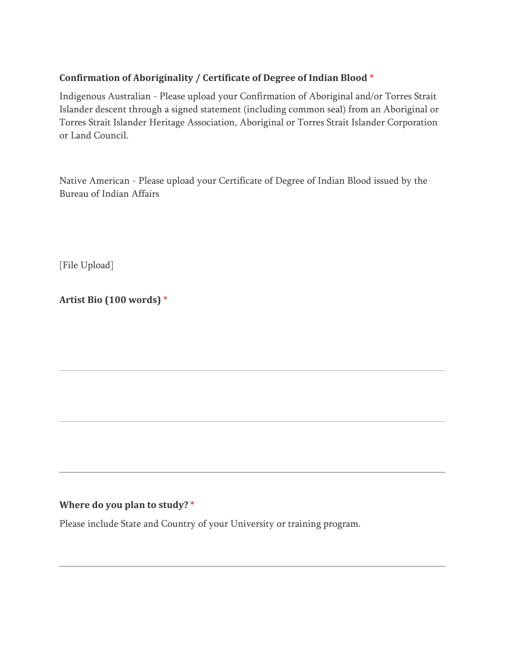# **Confirmation of Aboriginality / Certificate of Degree of Indian Blood** \*

Indigenous Australian - Please upload your Confirmation of Aboriginal and/or Torres Strait Islander descent through a signed statement (including common seal) from an Aboriginal or Torres Strait Islander Heritage Association, Aboriginal or Torres Strait Islander Corporation or Land Council.

Native American - Please upload your Certificate of Degree of Indian Blood issued by the Bureau of Indian Affairs

[File Upload]

**Artist Bio (100 words)** \*

# **Where do you plan to study?** \*

Please include State and Country of your University or training program.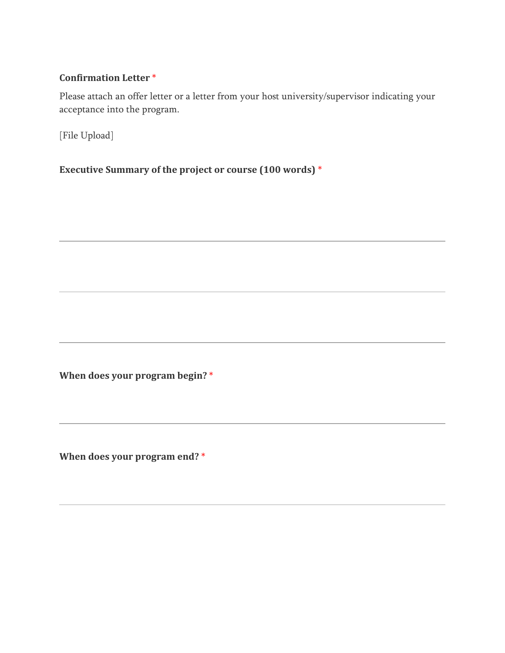#### **Confirmation Letter** \*

Please attach an offer letter or a letter from your host university/supervisor indicating your acceptance into the program.

[File Upload]

**Executive Summary of the project or course (100 words)** \*

**When does your program begin?** \*

**When does your program end?** \*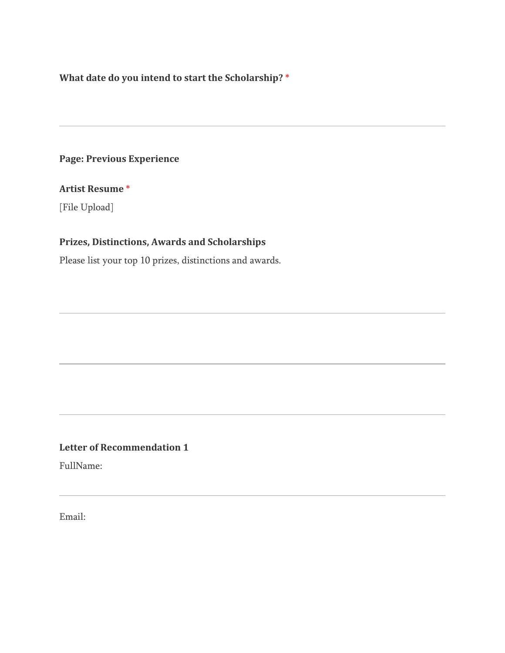**What date do you intend to start the Scholarship?** \*

# **Page: Previous Experience**

#### **Artist Resume** \*

[File Upload]

# **Prizes, Distinctions, Awards and Scholarships**

Please list your top 10 prizes, distinctions and awards.

#### **Letter of Recommendation 1**

FullName:

Email: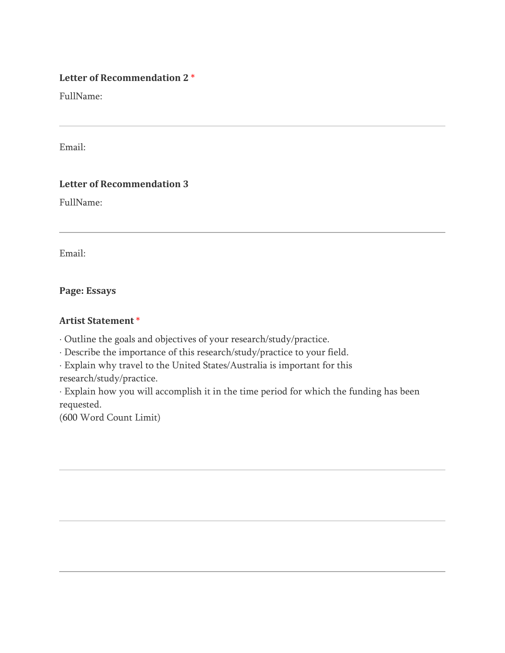#### **Letter of Recommendation 2** \*

FullName:

Email:

# **Letter of Recommendation 3**

FullName:

Email:

**Page: Essays**

#### **Artist Statement** \*

Outline the goals and objectives of your research/study/practice.

Describe the importance of this research/study/practice to your field.

Explain why travel to the United States/Australia is important for this

research/study/practice.

 Explain how you will accomplish it in the time period for which the funding has been requested.

(600 Word Count Limit)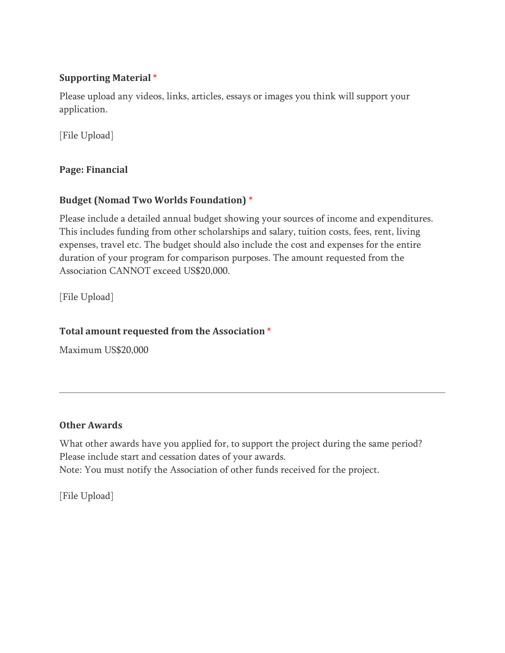### **Supporting Material** \*

Please upload any videos, links, articles, essays or images you think will support your application.

[File Upload]

**Page: Financial**

# **Budget (Nomad Two Worlds Foundation)** \*

Please include a detailed annual budget showing your sources of income and expenditures. This includes funding from other scholarships and salary, tuition costs, fees, rent, living expenses, travel etc. The budget should also include the cost and expenses for the entire duration of your program for comparison purposes. The amount requested from the Association CANNOT exceed US\$20,000.

[File Upload]

# **Total amount requested from the Association** \*

Maximum US\$20,000

# **Other Awards**

What other awards have you applied for, to support the project during the same period? Please include start and cessation dates of your awards.

Note: You must notify the Association of other funds received for the project.

[File Upload]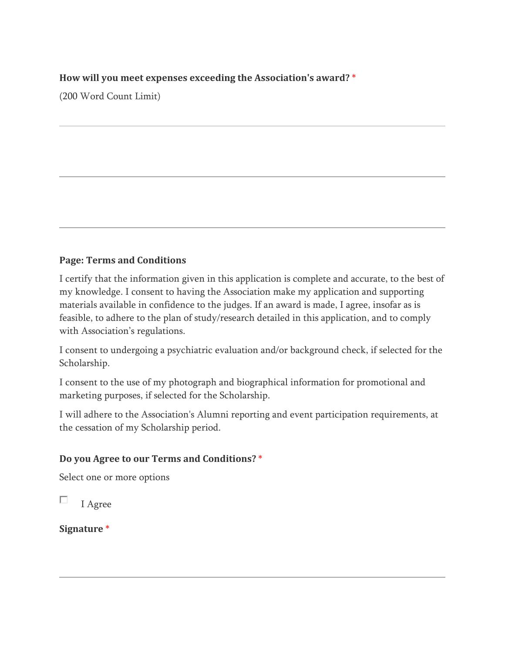#### **How will you meet expenses exceeding the Association's award?** \*

(200 Word Count Limit)

# **Page: Terms and Conditions**

I certify that the information given in this application is complete and accurate, to the best of my knowledge. I consent to having the Association make my application and supporting materials available in confidence to the judges. If an award is made, I agree, insofar as is feasible, to adhere to the plan of study/research detailed in this application, and to comply with Association's regulations.

I consent to undergoing a psychiatric evaluation and/or background check, if selected for the Scholarship.

I consent to the use of my photograph and biographical information for promotional and marketing purposes, if selected for the Scholarship.

I will adhere to the Association's Alumni reporting and event participation requirements, at the cessation of my Scholarship period.

# **Do you Agree to our Terms and Conditions?** \*

Select one or more options

п I Agree

**Signature** \*